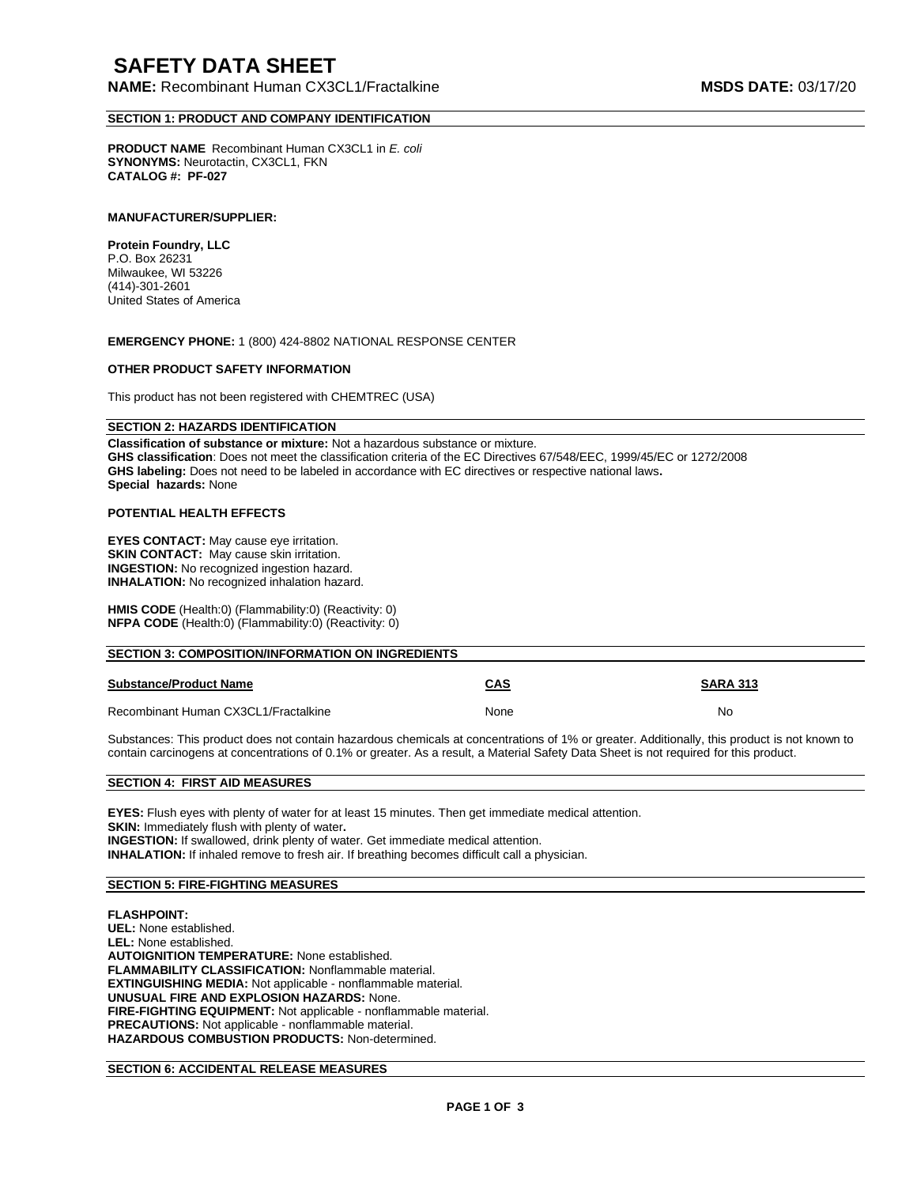# **SAFETY DATA SHEET**

**NAME:** Recombinant Human CX3CL1/Fractalkine **MSDS DATE:** 03/17/20

## **SECTION 1: PRODUCT AND COMPANY IDENTIFICATION**

**PRODUCT NAME** Recombinant Human CX3CL1 in *E. coli* **SYNONYMS:** Neurotactin, CX3CL1, FKN **CATALOG #: PF-027** 

#### **MANUFACTURER/SUPPLIER:**

**Protein Foundry, LLC**  P.O. Box 26231 Milwaukee, WI 53226 (414)-301-2601 United States of America

**EMERGENCY PHONE:** 1 (800) 424-8802 NATIONAL RESPONSE CENTER

#### **OTHER PRODUCT SAFETY INFORMATION**

This product has not been registered with CHEMTREC (USA)

## **SECTION 2: HAZARDS IDENTIFICATION**

**Classification of substance or mixture:** Not a hazardous substance or mixture. **GHS classification**: Does not meet the classification criteria of the EC Directives 67/548/EEC, 1999/45/EC or 1272/2008 **GHS labeling:** Does not need to be labeled in accordance with EC directives or respective national laws**. Special hazards:** None

#### **POTENTIAL HEALTH EFFECTS**

**EYES CONTACT:** May cause eye irritation. **SKIN CONTACT:** May cause skin irritation. **INGESTION:** No recognized ingestion hazard. **INHALATION:** No recognized inhalation hazard.

**HMIS CODE** (Health:0) (Flammability:0) (Reactivity: 0) **NFPA CODE** (Health:0) (Flammability:0) (Reactivity: 0)

| <b>SECTION 3: COMPOSITION/INFORMATION ON INGREDIENTS</b> |            |                 |
|----------------------------------------------------------|------------|-----------------|
| <b>Substance/Product Name</b>                            | <b>CAS</b> | <b>SARA 313</b> |
| Recombinant Human CX3CL1/Fractalkine                     | None       | No              |

Substances: This product does not contain hazardous chemicals at concentrations of 1% or greater. Additionally, this product is not known to contain carcinogens at concentrations of 0.1% or greater. As a result, a Material Safety Data Sheet is not required for this product.

#### **SECTION 4: FIRST AID MEASURES**

**EYES:** Flush eyes with plenty of water for at least 15 minutes. Then get immediate medical attention. **SKIN:** Immediately flush with plenty of water**. INGESTION:** If swallowed, drink plenty of water. Get immediate medical attention. **INHALATION:** If inhaled remove to fresh air. If breathing becomes difficult call a physician.

## **SECTION 5: FIRE-FIGHTING MEASURES**

#### **FLASHPOINT:**

**UEL:** None established. **LEL:** None established. **AUTOIGNITION TEMPERATURE:** None established. **FLAMMABILITY CLASSIFICATION:** Nonflammable material. **EXTINGUISHING MEDIA:** Not applicable - nonflammable material. **UNUSUAL FIRE AND EXPLOSION HAZARDS:** None. **FIRE-FIGHTING EQUIPMENT:** Not applicable - nonflammable material. **PRECAUTIONS:** Not applicable - nonflammable material. **HAZARDOUS COMBUSTION PRODUCTS:** Non-determined.

## **SECTION 6: ACCIDENTAL RELEASE MEASURES**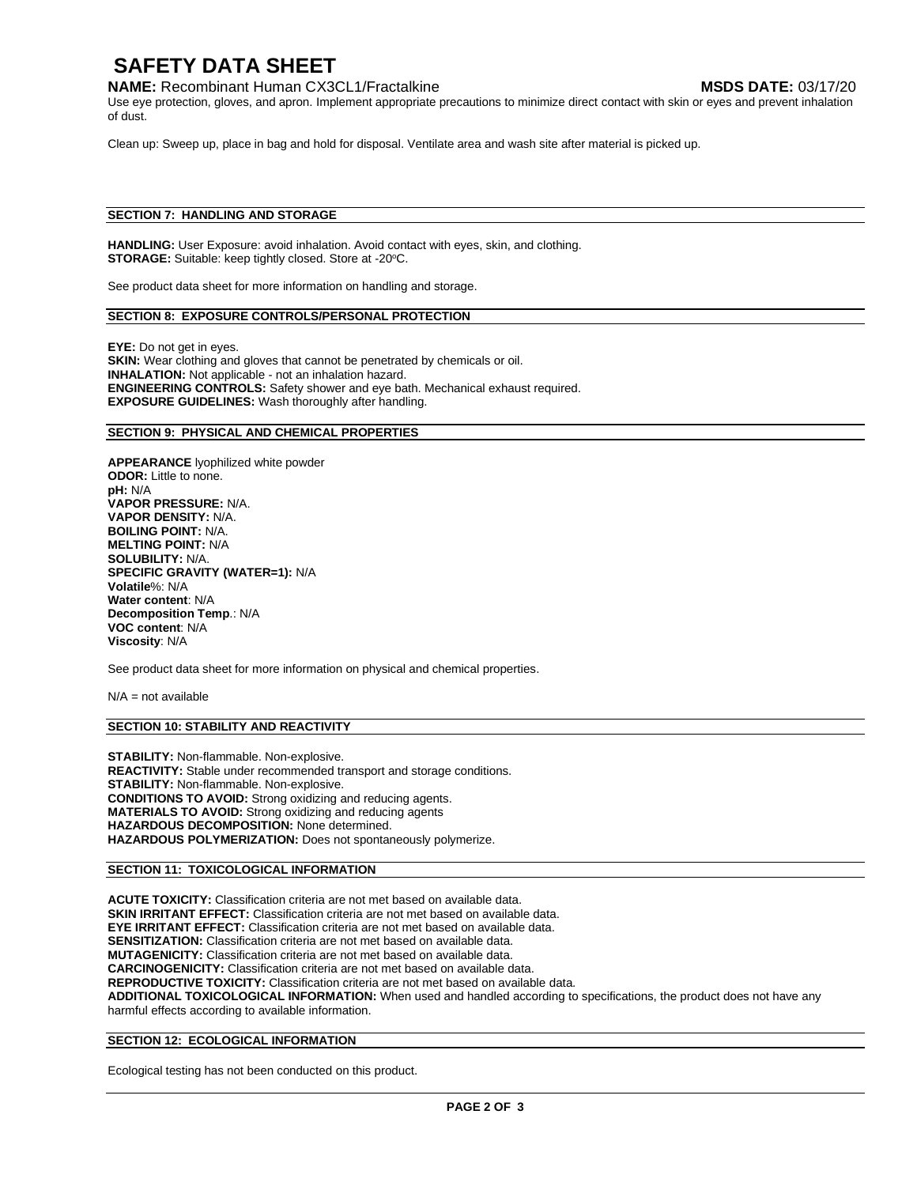# **SAFETY DATA SHEET**

## **NAME:** Recombinant Human CX3CL1/Fractalkine **MSDS DATE:** 03/17/20

Use eye protection, gloves, and apron. Implement appropriate precautions to minimize direct contact with skin or eyes and prevent inhalation of dust.

Clean up: Sweep up, place in bag and hold for disposal. Ventilate area and wash site after material is picked up.

## **SECTION 7: HANDLING AND STORAGE**

**HANDLING:** User Exposure: avoid inhalation. Avoid contact with eyes, skin, and clothing. **STORAGE:** Suitable: keep tightly closed. Store at -20°C.

See product data sheet for more information on handling and storage.

#### **SECTION 8: EXPOSURE CONTROLS/PERSONAL PROTECTION**

**EYE:** Do not get in eyes. **SKIN:** Wear clothing and gloves that cannot be penetrated by chemicals or oil. **INHALATION:** Not applicable - not an inhalation hazard. **ENGINEERING CONTROLS:** Safety shower and eye bath. Mechanical exhaust required. **EXPOSURE GUIDELINES:** Wash thoroughly after handling.

#### **SECTION 9: PHYSICAL AND CHEMICAL PROPERTIES**

**APPEARANCE** lyophilized white powder **ODOR:** Little to none. **pH:** N/A **VAPOR PRESSURE:** N/A. **VAPOR DENSITY:** N/A. **BOILING POINT:** N/A. **MELTING POINT:** N/A **SOLUBILITY:** N/A. **SPECIFIC GRAVITY (WATER=1):** N/A **Volatile**%: N/A **Water content**: N/A **Decomposition Temp**.: N/A **VOC content**: N/A **Viscosity**: N/A

See product data sheet for more information on physical and chemical properties.

 $N/A$  = not available

#### **SECTION 10: STABILITY AND REACTIVITY**

**STABILITY:** Non-flammable. Non-explosive. **REACTIVITY:** Stable under recommended transport and storage conditions. **STABILITY:** Non-flammable. Non-explosive. **CONDITIONS TO AVOID:** Strong oxidizing and reducing agents. **MATERIALS TO AVOID:** Strong oxidizing and reducing agents **HAZARDOUS DECOMPOSITION:** None determined. **HAZARDOUS POLYMERIZATION:** Does not spontaneously polymerize.

## **SECTION 11: TOXICOLOGICAL INFORMATION**

**ACUTE TOXICITY:** Classification criteria are not met based on available data. **SKIN IRRITANT EFFECT:** Classification criteria are not met based on available data. **EYE IRRITANT EFFECT:** Classification criteria are not met based on available data. **SENSITIZATION:** Classification criteria are not met based on available data. **MUTAGENICITY:** Classification criteria are not met based on available data. **CARCINOGENICITY:** Classification criteria are not met based on available data. **REPRODUCTIVE TOXICITY:** Classification criteria are not met based on available data. **ADDITIONAL TOXICOLOGICAL INFORMATION:** When used and handled according to specifications, the product does not have any harmful effects according to available information.

## **SECTION 12: ECOLOGICAL INFORMATION**

Ecological testing has not been conducted on this product.